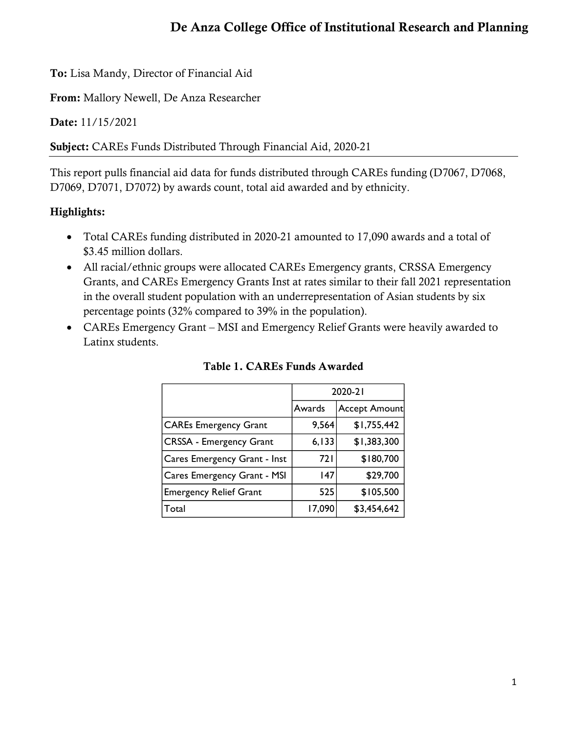To: Lisa Mandy, Director of Financial Aid

From: Mallory Newell, De Anza Researcher

Date: 11/15/2021

Subject: CAREs Funds Distributed Through Financial Aid, 2020-21

This report pulls financial aid data for funds distributed through CAREs funding (D7067, D7068, D7069, D7071, D7072) by awards count, total aid awarded and by ethnicity.

## Highlights:

- Total CAREs funding distributed in 2020-21 amounted to 17,090 awards and a total of \$3.45 million dollars.
- All racial/ethnic groups were allocated CAREs Emergency grants, CRSSA Emergency Grants, and CAREs Emergency Grants Inst at rates similar to their fall 2021 representation in the overall student population with an underrepresentation of Asian students by six percentage points (32% compared to 39% in the population).
- CAREs Emergency Grant MSI and Emergency Relief Grants were heavily awarded to Latinx students.

|                                | 2020-21 |                      |  |  |
|--------------------------------|---------|----------------------|--|--|
|                                | Awards  | <b>Accept Amount</b> |  |  |
| <b>CAREs Emergency Grant</b>   | 9,564   | \$1,755,442          |  |  |
| <b>CRSSA - Emergency Grant</b> | 6,133   | \$1,383,300          |  |  |
| Cares Emergency Grant - Inst   | 72 I    | \$180,700            |  |  |
| Cares Emergency Grant - MSI    | 147     | \$29,700             |  |  |
| <b>Emergency Relief Grant</b>  | 525     | \$105,500            |  |  |
| Total                          | 17,090  | \$3,454,642          |  |  |

Table 1. CAREs Funds Awarded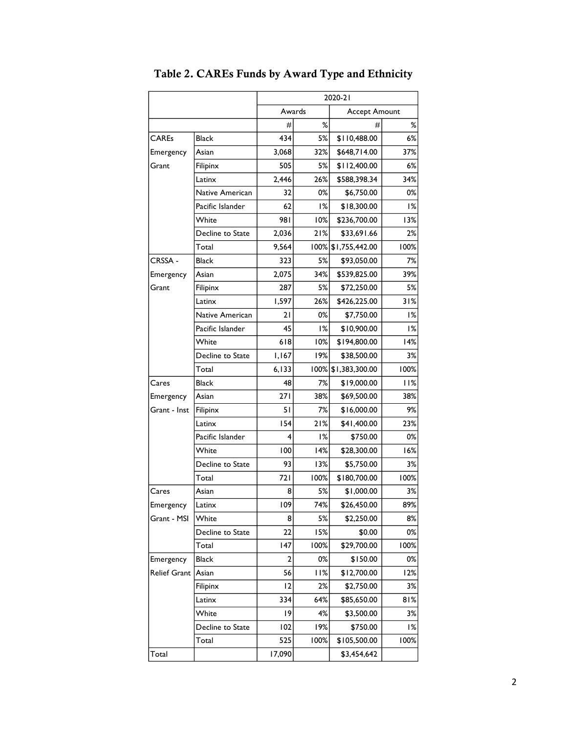|              |                  | 2020-21                 |       |                |      |
|--------------|------------------|-------------------------|-------|----------------|------|
|              |                  | Accept Amount<br>Awards |       |                |      |
|              |                  | #                       | %     | #              | ℅    |
| <b>CAREs</b> | <b>Black</b>     | 434                     | 5%    | \$110,488.00   | 6%   |
| Emergency    | Asian            | 3,068                   | 32%   | \$648,714.00   | 37%  |
| Grant        | Filipinx         | 505                     | 5%    | \$112,400.00   | 6%   |
|              | Latinx           | 2,446                   | 26%   | \$588,398.34   | 34%  |
|              | Native American  | 32                      | 0%    | \$6,750.00     | 0%   |
|              | Pacific Islander | 62                      | 1%    | \$18,300.00    | 1%   |
|              | White            | 981                     | 10%   | \$236,700.00   | 13%  |
|              | Decline to State | 2,036                   | 21%   | \$33,691.66    | 2%   |
|              | Total            | 9,564                   | 100%  | \$1,755,442.00 | 100% |
| CRSSA -      | <b>Black</b>     | 323                     | 5%    | \$93,050.00    | 7%   |
| Emergency    | Asian            | 2,075                   | 34%   | \$539,825.00   | 39%  |
| Grant        | Filipinx         | 287                     | 5%    | \$72,250.00    | 5%   |
|              | Latinx           | 1,597                   | 26%   | \$426,225.00   | 31%  |
|              | Native American  | 21                      | 0%    | \$7,750.00     | 1%   |
|              | Pacific Islander | 45                      | 1%    | \$10,900.00    | 1%   |
|              | White            | 618                     | 10%   | \$194,800.00   | 14%  |
|              | Decline to State | 1,167                   | 19%   | \$38,500.00    | 3%   |
|              | Total            | 6,133                   | 100%  | \$1,383,300.00 | 100% |
| Cares        | <b>Black</b>     | 48                      | 7%    | \$19,000.00    | 11%  |
| Emergency    | Asian            | 271                     | 38%   | \$69,500.00    | 38%  |
| Grant - Inst | Filipinx         | 51                      | 7%    | \$16,000.00    | 9%   |
|              | Latinx           | 154                     | 21%   | \$41,400.00    | 23%  |
|              | Pacific Islander | 4                       | 1%    | \$750.00       | 0%   |
|              | White            | 100                     | 14%   | \$28,300.00    | 16%  |
|              | Decline to State | 93                      | 13%   | \$5,750.00     | 3%   |
|              | Total            | 721                     | 100%  | \$180,700.00   | 100% |
| Cares        | Asian            | 8                       | 5%    | \$1,000.00     | 3%   |
| Emergency    | ${\sf Latinx}$   | 109                     | 74%   | \$26,450.00    | 89%  |
| Grant - MSI  | White            | 8                       | 5%    | \$2,250.00     | 8%   |
|              | Decline to State | 22                      | 15%   | \$0.00         | 0%   |
|              | Total            | 147                     | 100%  | \$29,700.00    | 100% |
| Emergency    | <b>Black</b>     | 2                       | $0\%$ | \$150.00       | 0%   |
| Relief Grant | Asian            | 56                      | 11%   | \$12,700.00    | 12%  |
|              | Filipinx         | 12                      | 2%    | \$2,750.00     | 3%   |
|              | Latinx           | 334                     | 64%   | \$85,650.00    | 81%  |
|              | White            | 19                      | 4%    | \$3,500.00     | 3%   |
|              | Decline to State | 102                     | 19%   | \$750.00       | 1%   |
|              | Total            | 525                     | 100%  | \$105,500.00   | 100% |
| Total        |                  | 17,090                  |       | \$3,454,642    |      |

Table 2. CAREs Funds by Award Type and Ethnicity